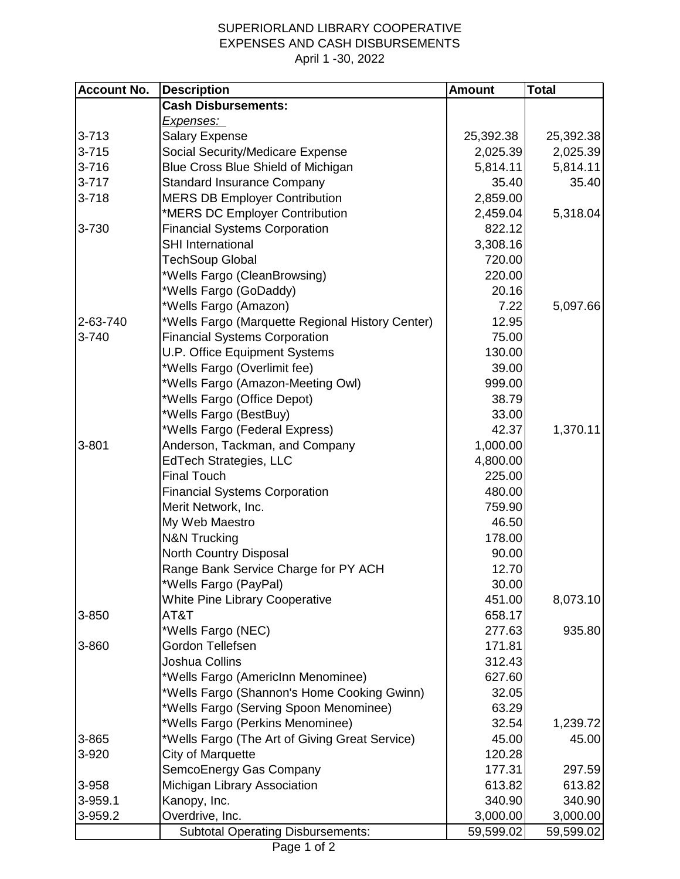## SUPERIORLAND LIBRARY COOPERATIVE EXPENSES AND CASH DISBURSEMENTS April 1 -30, 2022

| <b>Account No.</b> | <b>Description</b>                               | <b>Amount</b> | <b>Total</b> |
|--------------------|--------------------------------------------------|---------------|--------------|
|                    | <b>Cash Disbursements:</b>                       |               |              |
|                    | <u>Expenses: </u>                                |               |              |
| $3 - 713$          | <b>Salary Expense</b>                            | 25,392.38     | 25,392.38    |
| $3 - 715$          | <b>Social Security/Medicare Expense</b>          | 2,025.39      | 2,025.39     |
| $3 - 716$          | Blue Cross Blue Shield of Michigan               | 5,814.11      | 5,814.11     |
| $3 - 717$          | <b>Standard Insurance Company</b>                | 35.40         | 35.40        |
| $3 - 718$          | <b>MERS DB Employer Contribution</b>             | 2,859.00      |              |
|                    | *MERS DC Employer Contribution                   | 2,459.04      | 5,318.04     |
| 3-730              | <b>Financial Systems Corporation</b>             | 822.12        |              |
|                    | <b>SHI International</b>                         | 3,308.16      |              |
|                    | <b>TechSoup Global</b>                           | 720.00        |              |
|                    | *Wells Fargo (CleanBrowsing)                     | 220.00        |              |
|                    | *Wells Fargo (GoDaddy)                           | 20.16         |              |
|                    | *Wells Fargo (Amazon)                            | 7.22          | 5,097.66     |
| 2-63-740           | *Wells Fargo (Marquette Regional History Center) | 12.95         |              |
| 3-740              | <b>Financial Systems Corporation</b>             | 75.00         |              |
|                    | U.P. Office Equipment Systems                    | 130.00        |              |
|                    | *Wells Fargo (Overlimit fee)                     | 39.00         |              |
|                    | *Wells Fargo (Amazon-Meeting Owl)                | 999.00        |              |
|                    | *Wells Fargo (Office Depot)                      | 38.79         |              |
|                    | *Wells Fargo (BestBuy)                           | 33.00         |              |
|                    | *Wells Fargo (Federal Express)                   | 42.37         | 1,370.11     |
| $3 - 801$          | Anderson, Tackman, and Company                   | 1,000.00      |              |
|                    | <b>EdTech Strategies, LLC</b>                    | 4,800.00      |              |
|                    | <b>Final Touch</b>                               | 225.00        |              |
|                    | <b>Financial Systems Corporation</b>             | 480.00        |              |
|                    | Merit Network, Inc.                              | 759.90        |              |
|                    | My Web Maestro                                   | 46.50         |              |
|                    | <b>N&amp;N Trucking</b>                          | 178.00        |              |
|                    | North Country Disposal                           | 90.00         |              |
|                    | Range Bank Service Charge for PY ACH             | 12.70         |              |
|                    | *Wells Fargo (PayPal)                            | 30.00         |              |
|                    | <b>White Pine Library Cooperative</b>            | 451.00        | 8,073.10     |
| 3-850              | AT&T                                             | 658.17        |              |
|                    | *Wells Fargo (NEC)                               | 277.63        | 935.80       |
| 3-860              | Gordon Tellefsen                                 | 171.81        |              |
|                    | Joshua Collins                                   | 312.43        |              |
|                    | *Wells Fargo (AmericInn Menominee)               | 627.60        |              |
|                    | *Wells Fargo (Shannon's Home Cooking Gwinn)      | 32.05         |              |
|                    | *Wells Fargo (Serving Spoon Menominee)           | 63.29         |              |
|                    | *Wells Fargo (Perkins Menominee)                 | 32.54         | 1,239.72     |
| 3-865              | *Wells Fargo (The Art of Giving Great Service)   | 45.00         | 45.00        |
| 3-920              | City of Marquette                                | 120.28        |              |
|                    | SemcoEnergy Gas Company                          | 177.31        | 297.59       |
| 3-958              | Michigan Library Association                     | 613.82        | 613.82       |
| 3-959.1            | Kanopy, Inc.                                     | 340.90        | 340.90       |
| 3-959.2            | Overdrive, Inc.                                  | 3,000.00      | 3,000.00     |
|                    | <b>Subtotal Operating Disbursements:</b>         | 59,599.02     | 59,599.02    |